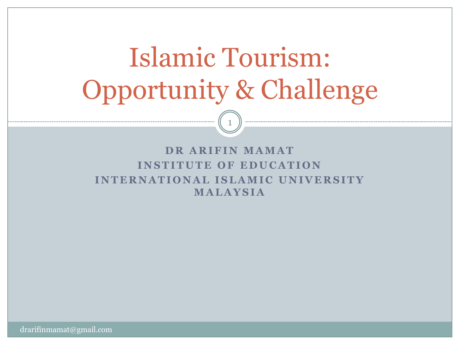# Islamic Tourism: Opportunity & Challenge

1

#### **DR ARIFIN MAMAT INSTITUTE OF EDUCATION INTERNATIONAL ISLAMIC UNIVERSITY M A L A Y S I A**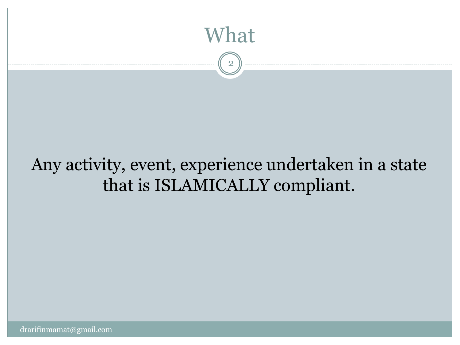

2

#### Any activity, event, experience undertaken in a state that is ISLAMICALLY compliant.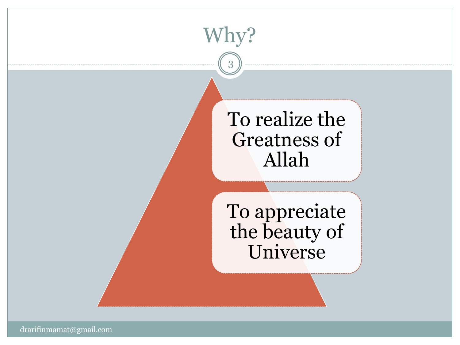### To realize the Greatness of Allah

Why?

3

To appreciate the beauty of Universe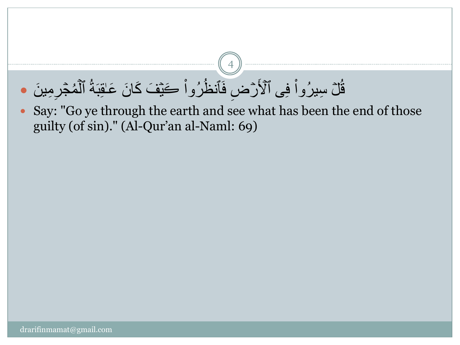#### قُلْ سِيرُواْ فِي ٱلْأَرْضِ فَٱنظُرُواْ كَيْفَ كَانَ عَاقِبَةُ ٱلْمُجْرِمِينَ • ْ ر<br>ب ْ ر<br>ب ء<br>م

 Say: "Go ye through the earth and see what has been the end of those guilty (of sin)." (Al-Qur'an al-Naml: 69)

4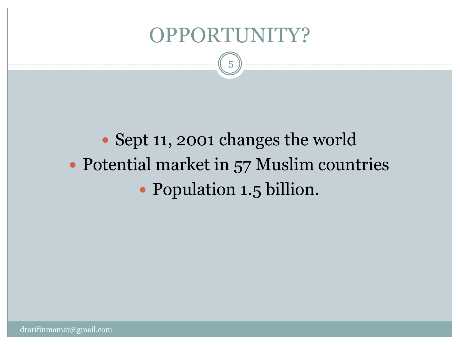#### OPPORTUNITY?

5

## • Sept 11, 2001 changes the world • Potential market in 57 Muslim countries • Population 1.5 billion.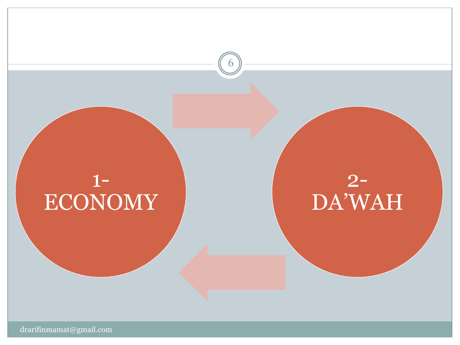

6

## 2- DA'WAH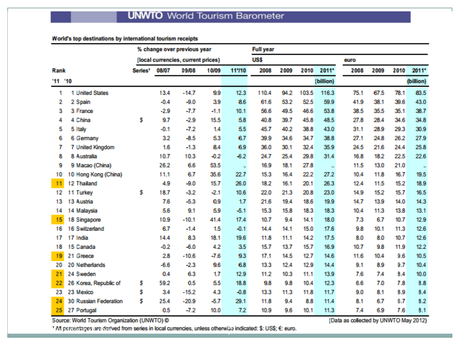#### World's top destinations by international tourism receipts

|        |                       | % change over previous year        |        |         |        |        | <b>Full year</b> |      |       |           |      |      |      |           |
|--------|-----------------------|------------------------------------|--------|---------|--------|--------|------------------|------|-------|-----------|------|------|------|-----------|
|        |                       | (local currencies, current prices) |        |         |        |        | <b>US\$</b>      |      |       |           | euro |      |      |           |
| Rank   |                       | Series <sup>1</sup>                | 08/07  | 09/08   | 10/09  | 11/10  | 2008             | 2009 | 2010  | 2011*     | 2008 | 2009 | 2010 | 2011*     |
| '11'10 |                       |                                    |        |         |        |        |                  |      |       | (billion) |      |      |      | (billion) |
| 1      | 1 United States       |                                    | 13.4   | $-14.7$ | 9.9    | 12.3   | 110.4            | 94.2 | 103.5 | 116.3     | 75.1 | 67.5 | 78.1 | 83.5      |
| 2      | 2 Spain               |                                    | $-0.4$ | $-9.0$  | 3.9    | 8.6    | 61.6             | 53.2 | 52.5  | 59.9      | 41.9 | 38.1 | 39.6 | 43.0      |
| 3      | 3 France              |                                    | $-2.9$ | -7.7    | $-1.1$ | 10.1   | 56.6             | 49.5 | 46.6  | 53.8      | 38.5 | 35.5 | 35.1 | 38.7      |
| 4      | 4 China               | s                                  | 9.7    | $-2.9$  | 15.5   | 5.8    | 40.8             | 39.7 | 45.8  | 48.5      | 27.8 | 28.4 | 34.6 | 34.8      |
| 5      | 5 Italy               |                                    | $-0.1$ | $-7.2$  | 1.4    | 5.5    | 45.7             | 40.2 | 38.8  | 43.0      | 31.1 | 28.9 | 29.3 | 30.9      |
| 6      | 6 Germany             |                                    | 3.2    | $-8.5$  | 53     | 6.7    | 39.9             | 34.6 | 34.7  | 38.8      | 27.1 | 24.8 | 26.2 | 27.9      |
| 7      | 7 United Kingdom      |                                    | 1.6    | $-1.3$  | 84     | 6.9    | 36.0             | 30.1 | 32.4  | 35.9      | 24.5 | 21.6 | 24.4 | 25.8      |
| 8      | 8 Australia           |                                    | 10.7   | 10.3    | $-0.2$ | $-6.2$ | 24.7             | 25.4 | 29.8  | 31.4      | 16.8 | 18.2 | 22.5 | 22.6      |
| 9      | 9 Macao (China)       |                                    | 26.2   | 6.6     | 53.5   | u,     | 16.9             | 18.1 | 27.8  |           | 11.5 | 13.0 | 21.0 |           |
| 10     | 10 Hong Kong (China)  |                                    | 11.1   | 6.7     | 35.6   | 22.7   | 15.3             | 16.4 | 22.2  | 27.2      | 10.4 | 11.8 | 16.7 | 19.5      |
| 11     | 12 Thailand           |                                    | 4.9    | $-9.0$  | 15.7   | 26.0   | 18.2             | 16.1 | 20.1  | 26.3      | 12.4 | 11.5 | 15.2 | 18.9      |
| 12     | 11 Turkey             | \$                                 | 18.7   | $-3.2$  | $-2.1$ | 10.6   | 22.0             | 21.3 | 20.8  | 23.0      | 14.9 | 15.2 | 15.7 | 16.5      |
| 13     | 13 Austria            |                                    | 7.6    | $-5.3$  | 0.9    | 1.7    | 21.6             | 19.4 | 18.6  | 19.9      | 14.7 | 13.9 | 14.0 | 14.3      |
| 14     | 14 Malaysia           |                                    | 5.6    | 9.1     | 5.9    | $-5.1$ | 15.3             | 15.8 | 18.3  | 18.3      | 10.4 | 11.3 | 13.8 | 13.1      |
| 15     | 18 Singapore          |                                    | 10.9   | $-10.1$ | 41.4   | 17.4   | 10.7             | 9.4  | 14.1  | 18.0      | 7.3  | 6.7  | 10.7 | 12.9      |
| 16     | 16 Switzerland        |                                    | 6.7    | $-1.4$  | 1.5    | $-0.1$ | 14.4             | 14.1 | 15.0  | 17.6      | 9.8  | 10.1 | 11.3 | 12.6      |
| 17     | 17 India              |                                    | 14.4   | 8.3     | 18.1   | 19.6   | 11.8             | 11.1 | 14.2  | 17.5      | 8.0  | 8.0  | 10.7 | 12.6      |
| 18     | 15 Canada             |                                    | $-0.2$ | $-6.0$  | 4.2    | 3.5    | 15.7             | 13.7 | 15.7  | 16.9      | 10.7 | 9.8  | 11.9 | 12.2      |
| 19     | 21 Greece             |                                    | 2.8    | $-10.6$ | $-7.6$ | 9.3    | 17.1             | 14.5 | 12.7  | 14.6      | 11.6 | 10.4 | 9.6  | 10.5      |
| 20     | 20 Netherlands        |                                    | $-6.6$ | $-2.3$  | 9.6    | 6.8    | 13.3             | 12.4 | 12.9  | 14.4      | 9.1  | 8.9  | 9.7  | 10.4      |
| 21     | 24 Sweden             |                                    | 0.4    | 6.3     | 1.7    | 12.9   | 11.2             | 10.3 | 11.1  | 13.9      | 7.6  | 7.4  | 8.4  | 10.0      |
| 22     | 26 Korea, Republic of | \$                                 | 59.2   | 0.5     | 55     | 18.8   | 9.8              | 9.8  | 10.4  | 12.3      | 6.6  | 7.0  | 7.8  | 8.8       |
| 23     | 23 Mexico             | \$                                 | 3.4    | $-15.2$ | 4.3    | $-0.8$ | 13.3             | 11.3 | 11.8  | 11.7      | 9.0  | 8.1  | 8.9  | 8.4       |
| 24     | 30 Russian Federation | s                                  | 25.4   | $-20.9$ | $-5.7$ | 29.1   | 11.8             | 9.4  | 8.8   | 11.4      | 8.1  | 6.7  | 6.7  | 8.2       |
| 25     | 27 Portugal           |                                    | 0.5    | $-7.2$  | 10.0   | 7.2    | 10.9             | 9.6  | 10.1  | 11.3      | 7.4  | 6.9  | 7.6  | 8.1       |

Source: World Tourism Organization (UNWTO) @

1 Af percontages are derived from series in local currencies, unless otherwise indicated: \$: US\$; €: euro.

(Data as collected by UNWTO May 2012)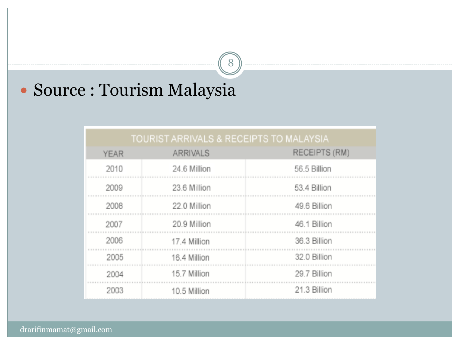#### Source : Tourism Malaysia

#### TOURIST ARRIVALS & RECEIPTS TO MALAYSIA

8

| <b>YEAR</b> | <b>ARRIVALS</b> | RECEIPTS (RM) |
|-------------|-----------------|---------------|
| 2010        | 24.6 Million    | 56.5 Billion  |
| 2009        | 23.6 Million    | 53.4 Billion  |
| 2008        | 22.0 Million    | 49.6 Billion  |
| 2007        | 20.9 Million    | 46.1 Billion  |
| 2006        | 17.4 Million    | 36.3 Billion  |
| 2005        | 16.4 Million    | 32.0 Billion  |
| 2004        | 15.7 Million    | 29.7 Billion  |
| 2003        | 10.5 Million    | 21.3 Billion  |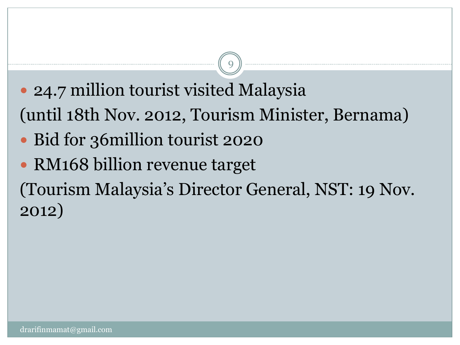• 24.7 million tourist visited Malaysia (until 18th Nov. 2012, Tourism Minister, Bernama)

9

- Bid for 36 million tourist 2020
- RM168 billion revenue target

(Tourism Malaysia's Director General, NST: 19 Nov. 2012)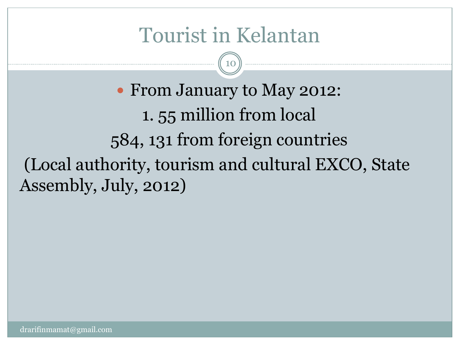## Tourist in Kelantan

10

 From January to May 2012: 1. 55 million from local 584, 131 from foreign countries (Local authority, tourism and cultural EXCO, State Assembly, July, 2012)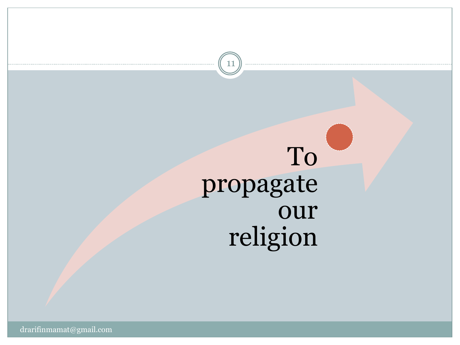# To propagate our religion

11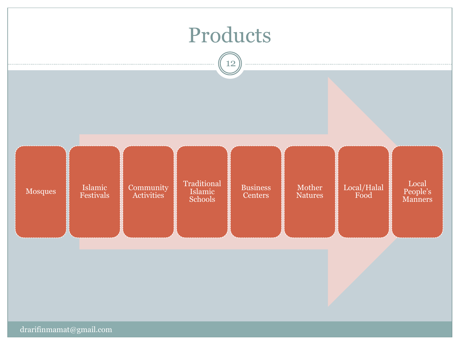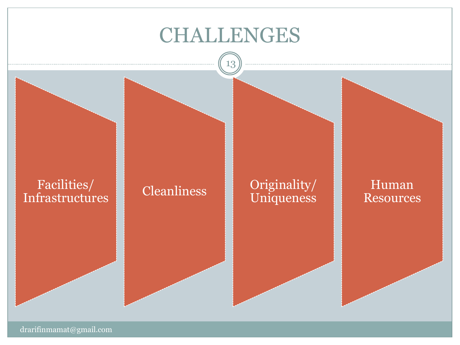